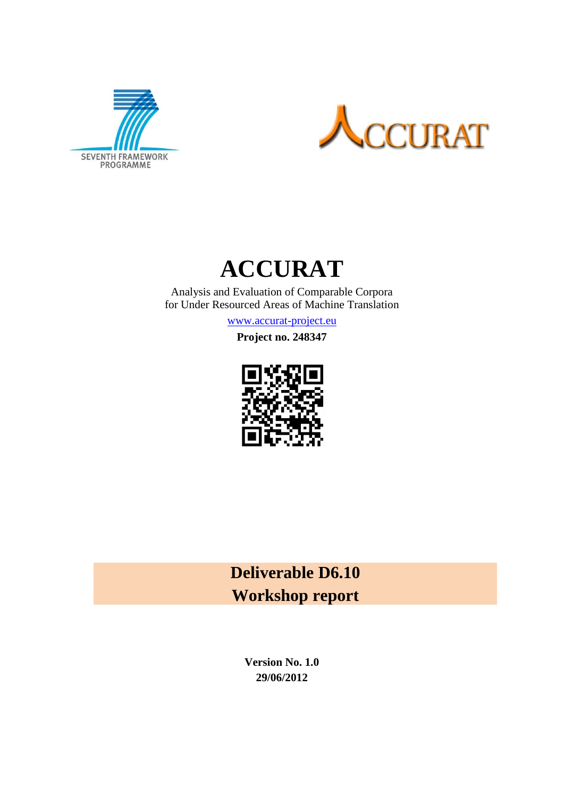





Analysis and Evaluation of Comparable Corpora for Under Resourced Areas of Machine Translation

[www.accurat-project.eu](http://www.accurat-project.eu/)

**Project no. 248347**



**Deliverable D6.10 Workshop report**

> **Version No. 1.0 29/06/2012**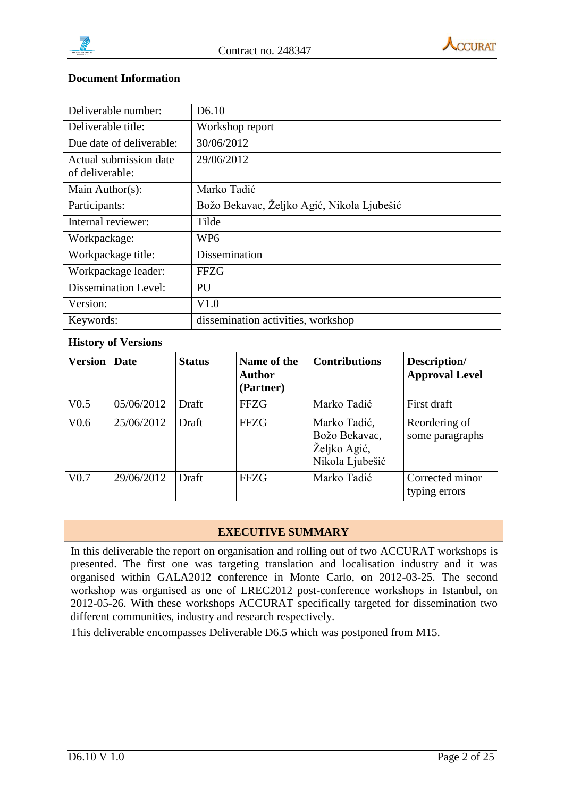



#### **Document Information**

| Deliverable number:                       | D <sub>6.10</sub>                          |
|-------------------------------------------|--------------------------------------------|
| Deliverable title:                        | Workshop report                            |
| Due date of deliverable:                  | 30/06/2012                                 |
| Actual submission date<br>of deliverable: | 29/06/2012                                 |
| Main Author(s):                           | Marko Tadić                                |
| Participants:                             | Božo Bekavac, Željko Agić, Nikola Ljubešić |
| Internal reviewer:                        | Tilde                                      |
| Workpackage:                              | WP <sub>6</sub>                            |
| Workpackage title:                        | <b>Dissemination</b>                       |
| Workpackage leader:                       | <b>FFZG</b>                                |
| <b>Dissemination Level:</b>               | PU                                         |
| Version:                                  | V1.0                                       |
| Keywords:                                 | dissemination activities, workshop         |

### **History of Versions**

| <b>Version</b>   | Date       | <b>Status</b> | Name of the<br>Author<br>(Partner) | <b>Contributions</b>                                             | Description/<br><b>Approval Level</b> |
|------------------|------------|---------------|------------------------------------|------------------------------------------------------------------|---------------------------------------|
| V <sub>0.5</sub> | 05/06/2012 | Draft         | <b>FFZG</b>                        | Marko Tadić                                                      | First draft                           |
| V <sub>0.6</sub> | 25/06/2012 | Draft         | <b>FFZG</b>                        | Marko Tadić,<br>Božo Bekavac,<br>Željko Agić,<br>Nikola Ljubešić | Reordering of<br>some paragraphs      |
| V <sub>0.7</sub> | 29/06/2012 | Draft         | <b>FFZG</b>                        | Marko Tadić                                                      | Corrected minor<br>typing errors      |

### **EXECUTIVE SUMMARY**

In this deliverable the report on organisation and rolling out of two ACCURAT workshops is presented. The first one was targeting translation and localisation industry and it was organised within GALA2012 conference in Monte Carlo, on 2012-03-25. The second workshop was organised as one of LREC2012 post-conference workshops in Istanbul, on 2012-05-26. With these workshops ACCURAT specifically targeted for dissemination two different communities, industry and research respectively.

This deliverable encompasses Deliverable D6.5 which was postponed from M15.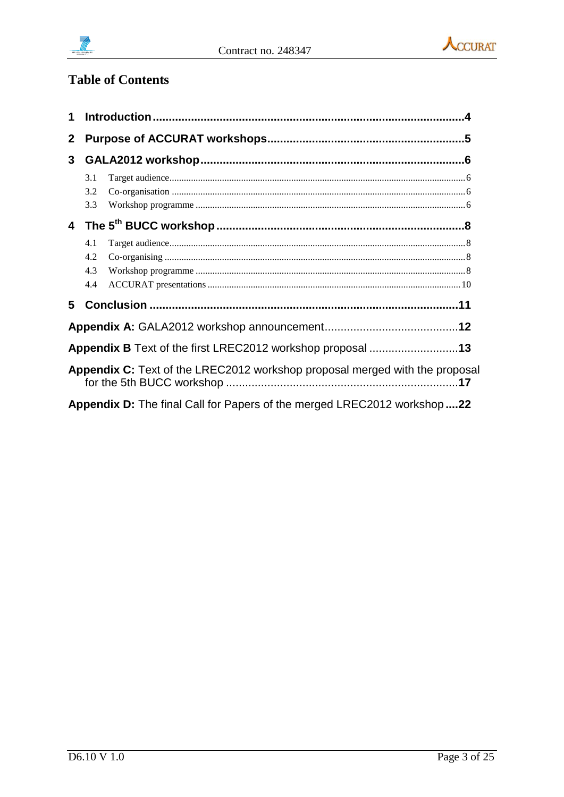



# **Table of Contents**

| 1            |                          |                                                                                |  |  |  |  |
|--------------|--------------------------|--------------------------------------------------------------------------------|--|--|--|--|
| $\mathbf{2}$ |                          |                                                                                |  |  |  |  |
| $\mathbf{3}$ |                          |                                                                                |  |  |  |  |
|              | 3.1<br>3.2<br>3.3        |                                                                                |  |  |  |  |
|              |                          |                                                                                |  |  |  |  |
|              | 4.1<br>4.2<br>4.3<br>4.4 |                                                                                |  |  |  |  |
| 5            |                          |                                                                                |  |  |  |  |
|              |                          |                                                                                |  |  |  |  |
|              |                          | Appendix B Text of the first LREC2012 workshop proposal 13                     |  |  |  |  |
|              |                          | Appendix C: Text of the LREC2012 workshop proposal merged with the proposal    |  |  |  |  |
|              |                          | <b>Appendix D:</b> The final Call for Papers of the merged LREC2012 workshop22 |  |  |  |  |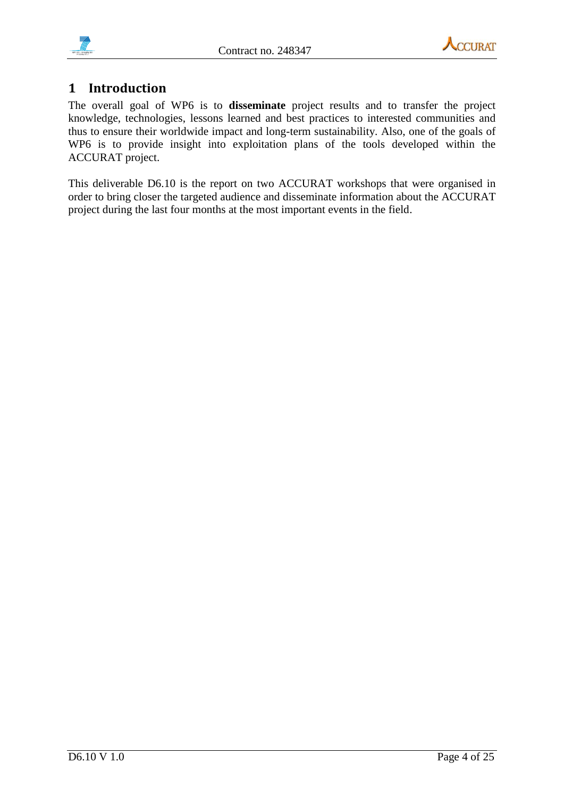



# <span id="page-3-0"></span>**1 Introduction**

The overall goal of WP6 is to **disseminate** project results and to transfer the project knowledge, technologies, lessons learned and best practices to interested communities and thus to ensure their worldwide impact and long-term sustainability. Also, one of the goals of WP6 is to provide insight into exploitation plans of the tools developed within the ACCURAT project.

This deliverable D6.10 is the report on two ACCURAT workshops that were organised in order to bring closer the targeted audience and disseminate information about the ACCURAT project during the last four months at the most important events in the field.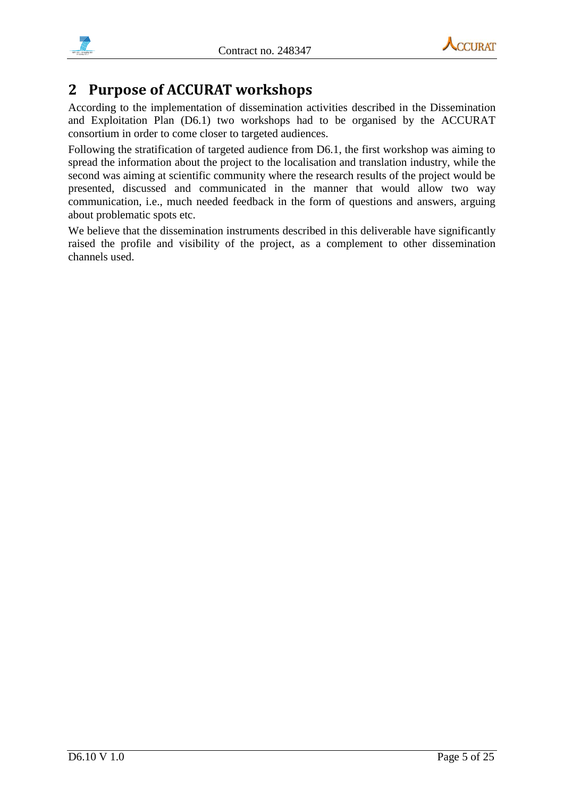



# <span id="page-4-0"></span>**2 Purpose of ACCURAT workshops**

According to the implementation of dissemination activities described in the Dissemination and Exploitation Plan (D6.1) two workshops had to be organised by the ACCURAT consortium in order to come closer to targeted audiences.

Following the stratification of targeted audience from D6.1, the first workshop was aiming to spread the information about the project to the localisation and translation industry, while the second was aiming at scientific community where the research results of the project would be presented, discussed and communicated in the manner that would allow two way communication, i.e., much needed feedback in the form of questions and answers, arguing about problematic spots etc.

We believe that the dissemination instruments described in this deliverable have significantly raised the profile and visibility of the project, as a complement to other dissemination channels used.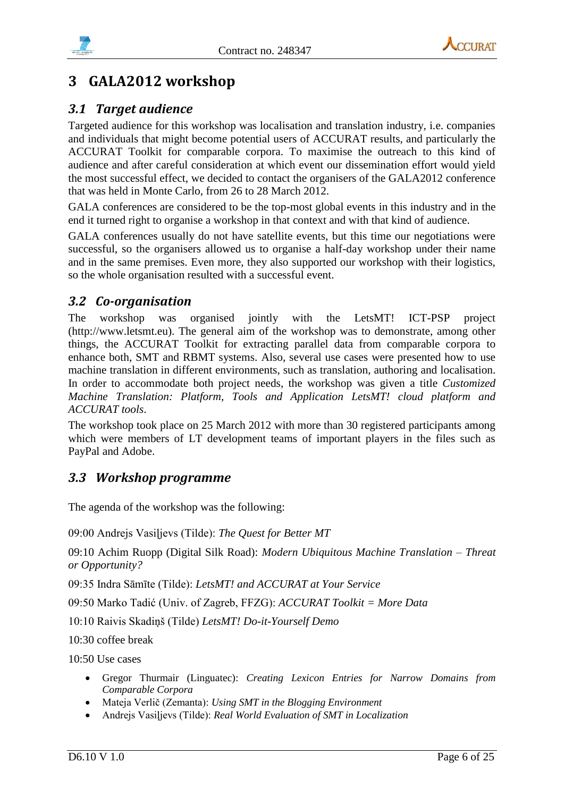

# <span id="page-5-0"></span>**3 GALA2012 workshop**

# <span id="page-5-1"></span>*3.1 Target audience*

Targeted audience for this workshop was localisation and translation industry, i.e. companies and individuals that might become potential users of ACCURAT results, and particularly the ACCURAT Toolkit for comparable corpora. To maximise the outreach to this kind of audience and after careful consideration at which event our dissemination effort would yield the most successful effect, we decided to contact the organisers of the GALA2012 conference that was held in Monte Carlo, from 26 to 28 March 2012.

GALA conferences are considered to be the top-most global events in this industry and in the end it turned right to organise a workshop in that context and with that kind of audience.

GALA conferences usually do not have satellite events, but this time our negotiations were successful, so the organisers allowed us to organise a half-day workshop under their name and in the same premises. Even more, they also supported our workshop with their logistics, so the whole organisation resulted with a successful event.

# <span id="page-5-2"></span>*3.2 Co-organisation*

The workshop was organised jointly with the LetsMT! ICT-PSP project (http://www.letsmt.eu). The general aim of the workshop was to demonstrate, among other things, the ACCURAT Toolkit for extracting parallel data from comparable corpora to enhance both, SMT and RBMT systems. Also, several use cases were presented how to use machine translation in different environments, such as translation, authoring and localisation. In order to accommodate both project needs, the workshop was given a title *Customized Machine Translation: Platform, Tools and Application LetsMT! cloud platform and ACCURAT tools*.

The workshop took place on 25 March 2012 with more than 30 registered participants among which were members of LT development teams of important players in the files such as PayPal and Adobe.

# <span id="page-5-3"></span>*3.3 Workshop programme*

The agenda of the workshop was the following:

09:00 Andrejs Vasiļjevs (Tilde): *The Quest for Better MT*

09:10 Achim Ruopp (Digital Silk Road): *Modern Ubiquitous Machine Translation – Threat or Opportunity?*

09:35 Indra Sāmīte (Tilde): *LetsMT! and ACCURAT at Your Service*

09:50 Marko Tadić (Univ. of Zagreb, FFZG): *ACCURAT Toolkit = More Data*

10:10 Raivis Skadiņš (Tilde) *LetsMT! Do-it-Yourself Demo*

10:30 coffee break

 $10:50$  Use cases

- Gregor Thurmair (Linguatec): *Creating Lexicon Entries for Narrow Domains from Comparable Corpora*
- Mateja Verlič (Zemanta): *Using SMT in the Blogging Environment*
- Andrejs Vasiļjevs (Tilde): *Real World Evaluation of SMT in Localization*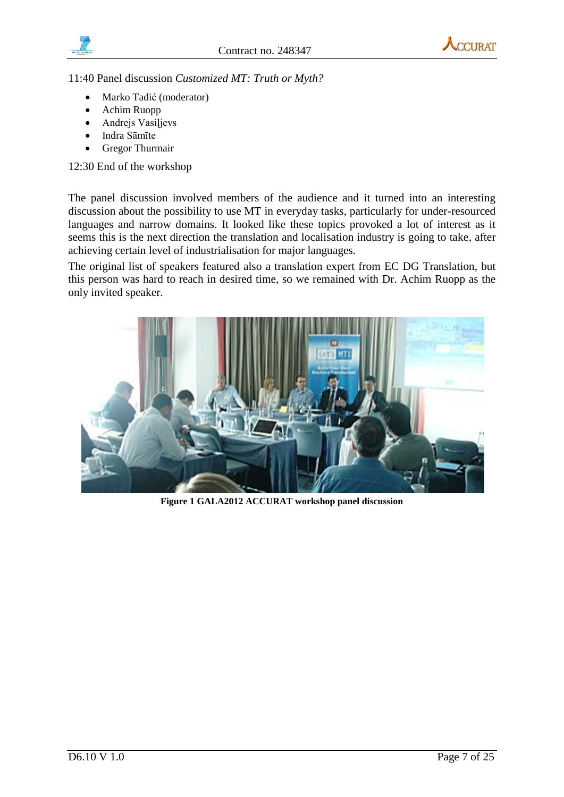



11:40 Panel discussion *Customized MT: Truth or Myth?*

- Marko Tadić (moderator)
- Achim Ruopp
- Andrejs Vasiļjevs
- Indra Sāmīte
- Gregor Thurmair

12:30 End of the workshop

The panel discussion involved members of the audience and it turned into an interesting discussion about the possibility to use MT in everyday tasks, particularly for under-resourced languages and narrow domains. It looked like these topics provoked a lot of interest as it seems this is the next direction the translation and localisation industry is going to take, after achieving certain level of industrialisation for major languages.

The original list of speakers featured also a translation expert from EC DG Translation, but this person was hard to reach in desired time, so we remained with Dr. Achim Ruopp as the only invited speaker.



**Figure 1 GALA2012 ACCURAT workshop panel discussion**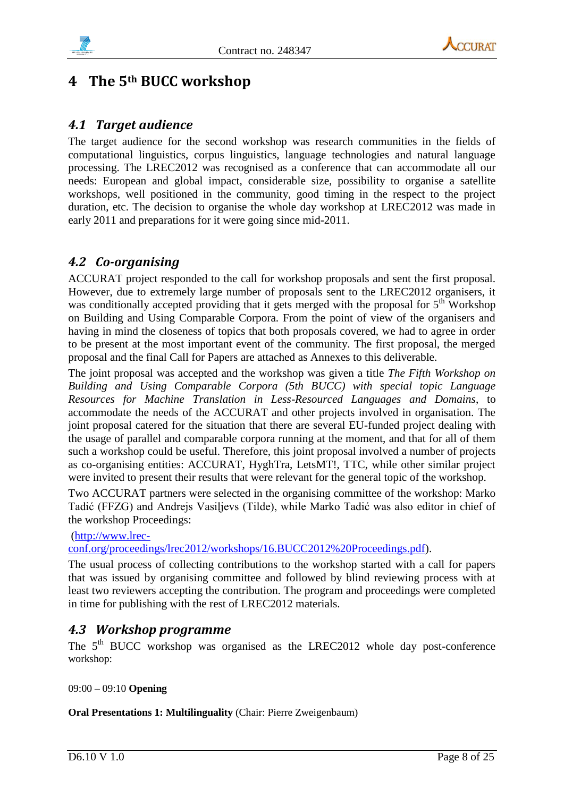



# <span id="page-7-0"></span>**4 The 5th BUCC workshop**

## <span id="page-7-1"></span>*4.1 Target audience*

The target audience for the second workshop was research communities in the fields of computational linguistics, corpus linguistics, language technologies and natural language processing. The LREC2012 was recognised as a conference that can accommodate all our needs: European and global impact, considerable size, possibility to organise a satellite workshops, well positioned in the community, good timing in the respect to the project duration, etc. The decision to organise the whole day workshop at LREC2012 was made in early 2011 and preparations for it were going since mid-2011.

# <span id="page-7-2"></span>*4.2 Co-organising*

ACCURAT project responded to the call for workshop proposals and sent the first proposal. However, due to extremely large number of proposals sent to the LREC2012 organisers, it was conditionally accepted providing that it gets merged with the proposal for  $5<sup>th</sup>$  Workshop on Building and Using Comparable Corpora. From the point of view of the organisers and having in mind the closeness of topics that both proposals covered, we had to agree in order to be present at the most important event of the community. The first proposal, the merged proposal and the final Call for Papers are attached as Annexes to this deliverable.

The joint proposal was accepted and the workshop was given a title *The Fifth Workshop on Building and Using Comparable Corpora (5th BUCC) with special topic Language Resources for Machine Translation in Less-Resourced Languages and Domains*, to accommodate the needs of the ACCURAT and other projects involved in organisation. The joint proposal catered for the situation that there are several EU-funded project dealing with the usage of parallel and comparable corpora running at the moment, and that for all of them such a workshop could be useful. Therefore, this joint proposal involved a number of projects as co-organising entities: ACCURAT, HyghTra, LetsMT!, TTC, while other similar project were invited to present their results that were relevant for the general topic of the workshop.

Two ACCURAT partners were selected in the organising committee of the workshop: Marko Tadić (FFZG) and Andrejs Vasiļjevs (Tilde), while Marko Tadić was also editor in chief of the workshop Proceedings:

[\(http://www.lrec-](http://www.lrec-conf.org/proceedings/lrec2012/workshops/16.BUCC2012%20Proceedings.pdf)

[conf.org/proceedings/lrec2012/workshops/16.BUCC2012%20Proceedings.pdf\)](http://www.lrec-conf.org/proceedings/lrec2012/workshops/16.BUCC2012%20Proceedings.pdf).

The usual process of collecting contributions to the workshop started with a call for papers that was issued by organising committee and followed by blind reviewing process with at least two reviewers accepting the contribution. The program and proceedings were completed in time for publishing with the rest of LREC2012 materials.

## <span id="page-7-3"></span>*4.3 Workshop programme*

The 5<sup>th</sup> BUCC workshop was organised as the LREC2012 whole day post-conference workshop:

09:00 – 09:10 **Opening**

**Oral Presentations 1: Multilinguality** (Chair: Pierre Zweigenbaum)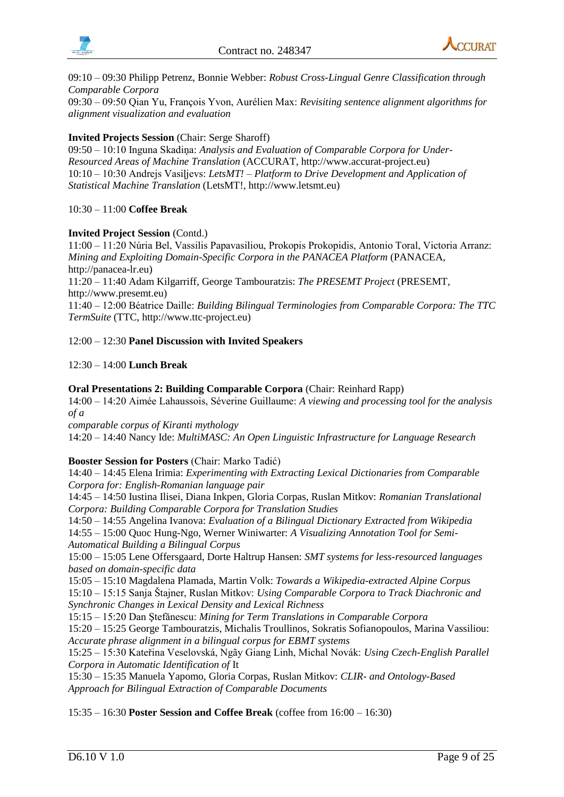



09:10 – 09:30 Philipp Petrenz, Bonnie Webber: *Robust Cross-Lingual Genre Classification through Comparable Corpora*

09:30 – 09:50 Qian Yu, François Yvon, Aurélien Max: *Revisiting sentence alignment algorithms for alignment visualization and evaluation*

#### **Invited Projects Session** (Chair: Serge Sharoff)

09:50 – 10:10 Inguna Skadiņa: *Analysis and Evaluation of Comparable Corpora for Under-Resourced Areas of Machine Translation* (ACCURAT, http://www.accurat-project.eu) 10:10 – 10:30 Andrejs Vasiļjevs: *LetsMT! – Platform to Drive Development and Application of Statistical Machine Translation* (LetsMT!, http://www.letsmt.eu)

#### 10:30 – 11:00 **Coffee Break**

#### **Invited Project Session** (Contd.)

11:00 – 11:20 Núria Bel, Vassilis Papavasiliou, Prokopis Prokopidis, Antonio Toral, Victoria Arranz: *Mining and Exploiting Domain-Specific Corpora in the PANACEA Platform* (PANACEA, http://panacea-lr.eu)

11:20 – 11:40 Adam Kilgarriff, George Tambouratzis: *The PRESEMT Project* (PRESEMT, http://www.presemt.eu)

11:40 – 12:00 Béatrice Daille: *Building Bilingual Terminologies from Comparable Corpora: The TTC TermSuite* (TTC, http://www.ttc-project.eu)

12:00 – 12:30 **Panel Discussion with Invited Speakers**

12:30 – 14:00 **Lunch Break**

#### **Oral Presentations 2: Building Comparable Corpora** (Chair: Reinhard Rapp)

14:00 – 14:20 Aimée Lahaussois, Séverine Guillaume: *A viewing and processing tool for the analysis of a*

*comparable corpus of Kiranti mythology*

14:20 – 14:40 Nancy Ide: *MultiMASC: An Open Linguistic Infrastructure for Language Research*

#### **Booster Session for Posters** (Chair: Marko Tadić)

14:40 – 14:45 Elena Irimia: *Experimenting with Extracting Lexical Dictionaries from Comparable Corpora for: English-Romanian language pair*

14:45 – 14:50 Iustina Ilisei, Diana Inkpen, Gloria Corpas, Ruslan Mitkov: *Romanian Translational Corpora: Building Comparable Corpora for Translation Studies*

14:50 – 14:55 Angelina Ivanova: *Evaluation of a Bilingual Dictionary Extracted from Wikipedia* 14:55 – 15:00 Quoc Hung-Ngo, Werner Winiwarter: *A Visualizing Annotation Tool for Semi-Automatical Building a Bilingual Corpus*

15:00 – 15:05 Lene Offersgaard, Dorte Haltrup Hansen: *SMT systems for less-resourced languages based on domain-specific data*

15:05 – 15:10 Magdalena Plamada, Martin Volk: *Towards a Wikipedia-extracted Alpine Corpus*

15:10 – 15:15 Sanja Štajner, Ruslan Mitkov: *Using Comparable Corpora to Track Diachronic and Synchronic Changes in Lexical Density and Lexical Richness*

15:15 – 15:20 Dan Ştefănescu: *Mining for Term Translations in Comparable Corpora*

15:20 – 15:25 George Tambouratzis, Michalis Troullinos, Sokratis Sofianopoulos, Marina Vassiliou: *Accurate phrase alignment in a bilingual corpus for EBMT systems*

15:25 – 15:30 Kateřina Veselovská, Ngãy Giang Linh, Michal Novák: *Using Czech-English Parallel Corpora in Automatic Identification of* It

15:30 – 15:35 Manuela Yapomo, Gloria Corpas, Ruslan Mitkov: *CLIR- and Ontology-Based Approach for Bilingual Extraction of Comparable Documents*

15:35 – 16:30 **Poster Session and Coffee Break** (coffee from 16:00 – 16:30)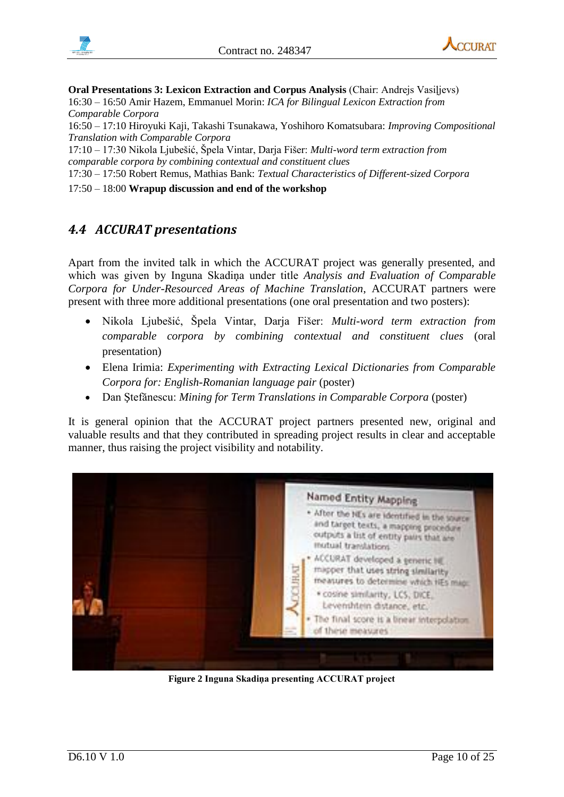



**Oral Presentations 3: Lexicon Extraction and Corpus Analysis** (Chair: Andrejs Vasiļjevs) 16:30 – 16:50 Amir Hazem, Emmanuel Morin: *ICA for Bilingual Lexicon Extraction from Comparable Corpora*

16:50 – 17:10 Hiroyuki Kaji, Takashi Tsunakawa, Yoshihoro Komatsubara: *Improving Compositional Translation with Comparable Corpora*

17:10 – 17:30 Nikola Ljubešić, Špela Vintar, Darja Fišer: *Multi-word term extraction from comparable corpora by combining contextual and constituent clues*

17:30 – 17:50 Robert Remus, Mathias Bank: *Textual Characteristics of Different-sized Corpora*

17:50 – 18:00 **Wrapup discussion and end of the workshop**

# <span id="page-9-0"></span>*4.4 ACCURAT presentations*

Apart from the invited talk in which the ACCURAT project was generally presented, and which was given by Inguna Skadiņa under title *Analysis and Evaluation of Comparable Corpora for Under-Resourced Areas of Machine Translation*, ACCURAT partners were present with three more additional presentations (one oral presentation and two posters):

- Nikola Ljubešić, Špela Vintar, Darja Fišer: *Multi-word term extraction from comparable corpora by combining contextual and constituent clues* (oral presentation)
- Elena Irimia: *Experimenting with Extracting Lexical Dictionaries from Comparable Corpora for: English-Romanian language pair* (poster)
- Dan Ştefănescu: *Mining for Term Translations in Comparable Corpora* (poster)

It is general opinion that the ACCURAT project partners presented new, original and valuable results and that they contributed in spreading project results in clear and acceptable manner, thus raising the project visibility and notability.



**Figure 2 Inguna Skadiņa presenting ACCURAT project**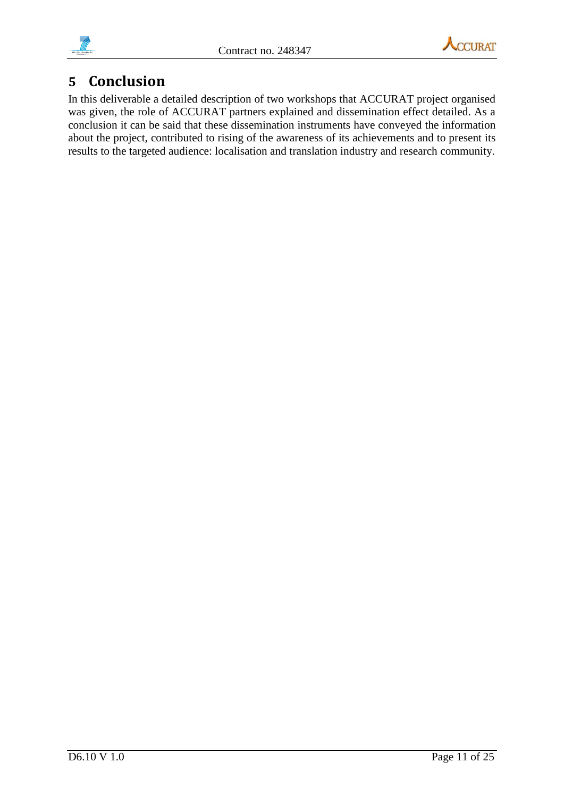



# <span id="page-10-0"></span>**5 Conclusion**

<span id="page-10-1"></span>In this deliverable a detailed description of two workshops that ACCURAT project organised was given, the role of ACCURAT partners explained and dissemination effect detailed. As a conclusion it can be said that these dissemination instruments have conveyed the information about the project, contributed to rising of the awareness of its achievements and to present its results to the targeted audience: localisation and translation industry and research community.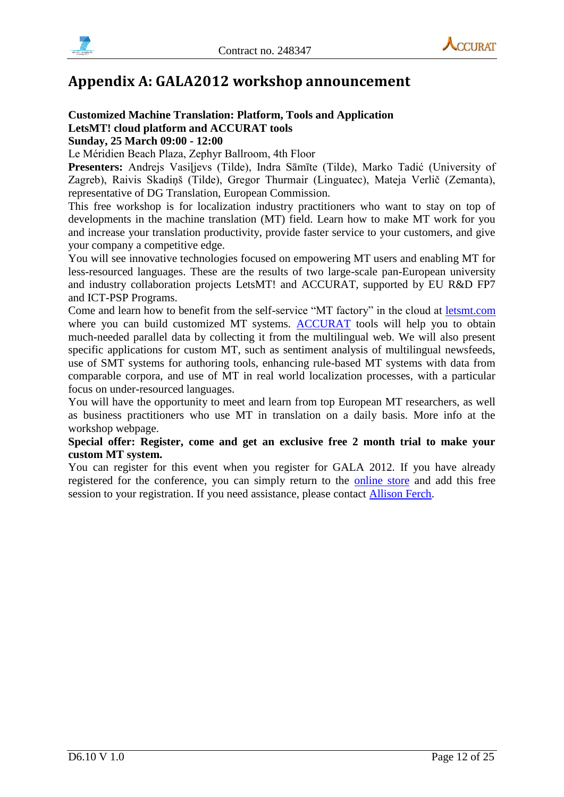



# **Appendix A: GALA2012 workshop announcement**

### **Customized Machine Translation: Platform, Tools and Application LetsMT! cloud platform and ACCURAT tools Sunday, 25 March 09:00 - 12:00**

Le Méridien Beach Plaza, Zephyr Ballroom, 4th Floor

**Presenters:** Andrejs Vasiļjevs (Tilde), Indra Sāmīte (Tilde), Marko Tadić (University of Zagreb), Raivis Skadiņš (Tilde), Gregor Thurmair (Linguatec), Mateja Verlič (Zemanta), representative of DG Translation, European Commission.

This free workshop is for localization industry practitioners who want to stay on top of developments in the machine translation (MT) field. Learn how to make MT work for you and increase your translation productivity, provide faster service to your customers, and give your company a competitive edge.

You will see innovative technologies focused on empowering MT users and enabling MT for less-resourced languages. These are the results of two large-scale pan-European university and industry collaboration projects LetsMT! and ACCURAT, supported by EU R&D FP7 and ICT-PSP Programs.

Come and learn how to benefit from the self-service "MT factory" in the cloud at [letsmt.com](https://www.letsmt.eu/Start.aspx) where you can build customized MT systems. [ACCURAT](http://www.accurat-project.eu/) tools will help you to obtain much-needed parallel data by collecting it from the multilingual web. We will also present specific applications for custom MT, such as sentiment analysis of multilingual newsfeeds, use of SMT systems for authoring tools, enhancing rule-based MT systems with data from comparable corpora, and use of MT in real world localization processes, with a particular focus on under-resourced languages.

You will have the opportunity to meet and learn from top European MT researchers, as well as business practitioners who use MT in translation on a daily basis. More info at the workshop webpage.

### **Special offer: Register, come and get an exclusive free 2 month trial to make your custom MT system.**

You can register for this event when you register for GALA 2012. If you have already registered for the conference, you can simply return to the [online store](https://netforum.avectra.com/eweb/DynamicPage.aspx?Site=GALA&WebCode=LoginRequired) and add this free session to your registration. If you need assistance, please contact [Allison Ferch.](mailto:aferch@gala-global.org)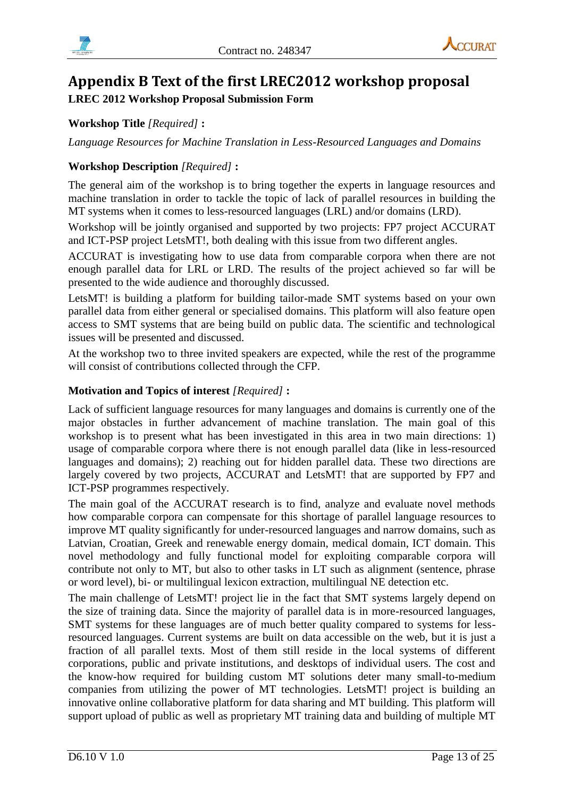

# <span id="page-12-0"></span>**Appendix B Text of the first LREC2012 workshop proposal**

## **LREC 2012 Workshop Proposal Submission Form**

## **Workshop Title** *[Required]* **:**

*Language Resources for Machine Translation in Less-Resourced Languages and Domains*

## **Workshop Description** *[Required]* **:**

The general aim of the workshop is to bring together the experts in language resources and machine translation in order to tackle the topic of lack of parallel resources in building the MT systems when it comes to less-resourced languages (LRL) and/or domains (LRD).

Workshop will be jointly organised and supported by two projects: FP7 project ACCURAT and ICT-PSP project LetsMT!, both dealing with this issue from two different angles.

ACCURAT is investigating how to use data from comparable corpora when there are not enough parallel data for LRL or LRD. The results of the project achieved so far will be presented to the wide audience and thoroughly discussed.

LetsMT! is building a platform for building tailor-made SMT systems based on your own parallel data from either general or specialised domains. This platform will also feature open access to SMT systems that are being build on public data. The scientific and technological issues will be presented and discussed.

At the workshop two to three invited speakers are expected, while the rest of the programme will consist of contributions collected through the CFP.

### **Motivation and Topics of interest** *[Required]* **:**

Lack of sufficient language resources for many languages and domains is currently one of the major obstacles in further advancement of machine translation. The main goal of this workshop is to present what has been investigated in this area in two main directions: 1) usage of comparable corpora where there is not enough parallel data (like in less-resourced languages and domains); 2) reaching out for hidden parallel data. These two directions are largely covered by two projects, ACCURAT and LetsMT! that are supported by FP7 and ICT-PSP programmes respectively.

The main goal of the ACCURAT research is to find, analyze and evaluate novel methods how comparable corpora can compensate for this shortage of parallel language resources to improve MT quality significantly for under-resourced languages and narrow domains, such as Latvian, Croatian, Greek and renewable energy domain, medical domain, ICT domain. This novel methodology and fully functional model for exploiting comparable corpora will contribute not only to MT, but also to other tasks in LT such as alignment (sentence, phrase or word level), bi- or multilingual lexicon extraction, multilingual NE detection etc.

The main challenge of LetsMT! project lie in the fact that SMT systems largely depend on the size of training data. Since the majority of parallel data is in more-resourced languages, SMT systems for these languages are of much better quality compared to systems for lessresourced languages. Current systems are built on data accessible on the web, but it is just a fraction of all parallel texts. Most of them still reside in the local systems of different corporations, public and private institutions, and desktops of individual users. The cost and the know-how required for building custom MT solutions deter many small-to-medium companies from utilizing the power of MT technologies. LetsMT! project is building an innovative online collaborative platform for data sharing and MT building. This platform will support upload of public as well as proprietary MT training data and building of multiple MT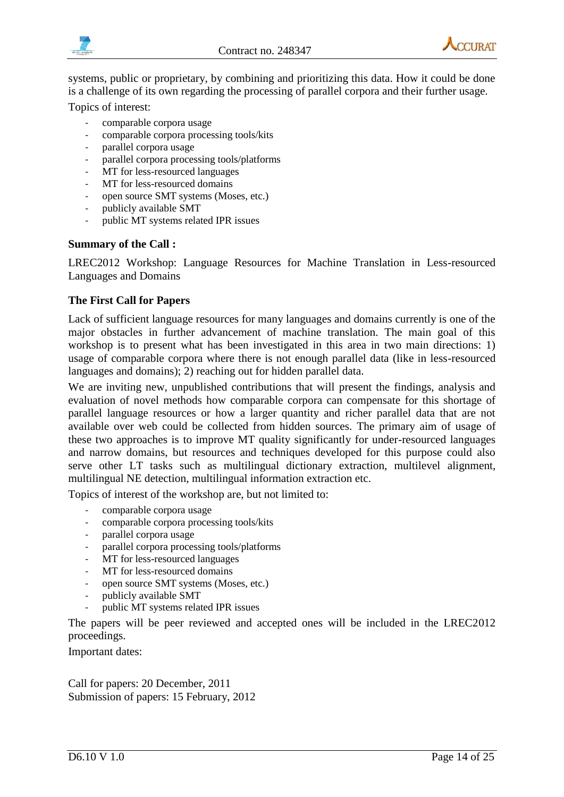



systems, public or proprietary, by combining and prioritizing this data. How it could be done is a challenge of its own regarding the processing of parallel corpora and their further usage.

Topics of interest:

- comparable corpora usage
- comparable corpora processing tools/kits
- parallel corpora usage
- parallel corpora processing tools/platforms
- MT for less-resourced languages
- MT for less-resourced domains
- open source SMT systems (Moses, etc.)
- publicly available SMT
- public MT systems related IPR issues

### **Summary of the Call :**

LREC2012 Workshop: Language Resources for Machine Translation in Less-resourced Languages and Domains

### **The First Call for Papers**

Lack of sufficient language resources for many languages and domains currently is one of the major obstacles in further advancement of machine translation. The main goal of this workshop is to present what has been investigated in this area in two main directions: 1) usage of comparable corpora where there is not enough parallel data (like in less-resourced languages and domains); 2) reaching out for hidden parallel data.

We are inviting new, unpublished contributions that will present the findings, analysis and evaluation of novel methods how comparable corpora can compensate for this shortage of parallel language resources or how a larger quantity and richer parallel data that are not available over web could be collected from hidden sources. The primary aim of usage of these two approaches is to improve MT quality significantly for under-resourced languages and narrow domains, but resources and techniques developed for this purpose could also serve other LT tasks such as multilingual dictionary extraction, multilevel alignment, multilingual NE detection, multilingual information extraction etc.

Topics of interest of the workshop are, but not limited to:

- comparable corpora usage
- comparable corpora processing tools/kits
- parallel corpora usage
- parallel corpora processing tools/platforms
- MT for less-resourced languages
- MT for less-resourced domains
- open source SMT systems (Moses, etc.)
- publicly available SMT
- public MT systems related IPR issues

The papers will be peer reviewed and accepted ones will be included in the LREC2012 proceedings.

Important dates:

Call for papers: 20 December, 2011 Submission of papers: 15 February, 2012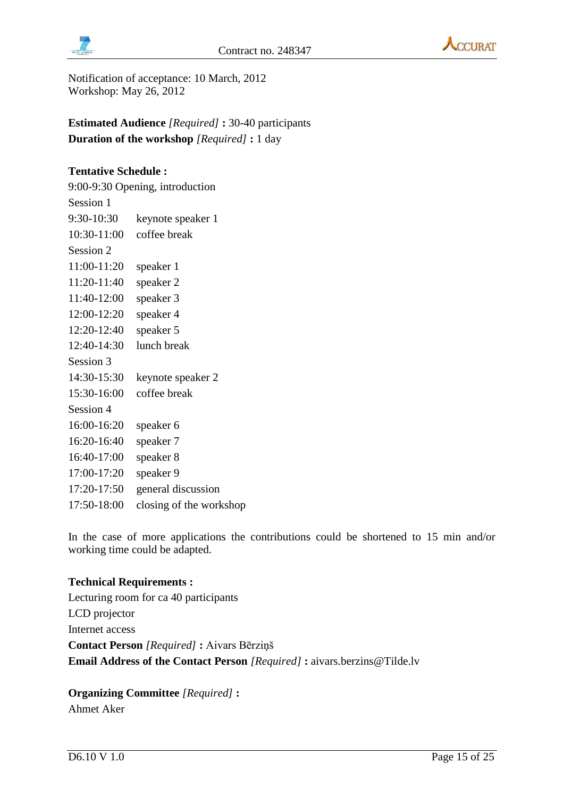



Notification of acceptance: 10 March, 2012 Workshop: May 26, 2012

**Estimated Audience** *[Required]* **:** 30-40 participants **Duration of the workshop** *[Required]* **:** 1 day

### **Tentative Schedule :**

9:00-9:30 Opening, introduction Session 1 9:30-10:30 keynote speaker 1 10:30-11:00 coffee break Session 2 11:00-11:20 speaker 1 11:20-11:40 speaker 2 11:40-12:00 speaker 3 12:00-12:20 speaker 4 12:20-12:40 speaker 5 12:40-14:30 lunch break Session 3 14:30-15:30 keynote speaker 2 15:30-16:00 coffee break Session 4 16:00-16:20 speaker 6 16:20-16:40 speaker 7 16:40-17:00 speaker 8 17:00-17:20 speaker 9 17:20-17:50 general discussion 17:50-18:00 closing of the workshop

In the case of more applications the contributions could be shortened to 15 min and/or working time could be adapted.

#### **Technical Requirements :**

Lecturing room for ca 40 participants LCD projector Internet access **Contact Person** *[Required]* **:** Aivars Bērziņš **Email Address of the Contact Person** *[Required]* **:** aivars.berzins@Tilde.lv

**Organizing Committee** *[Required]* **:** Ahmet Aker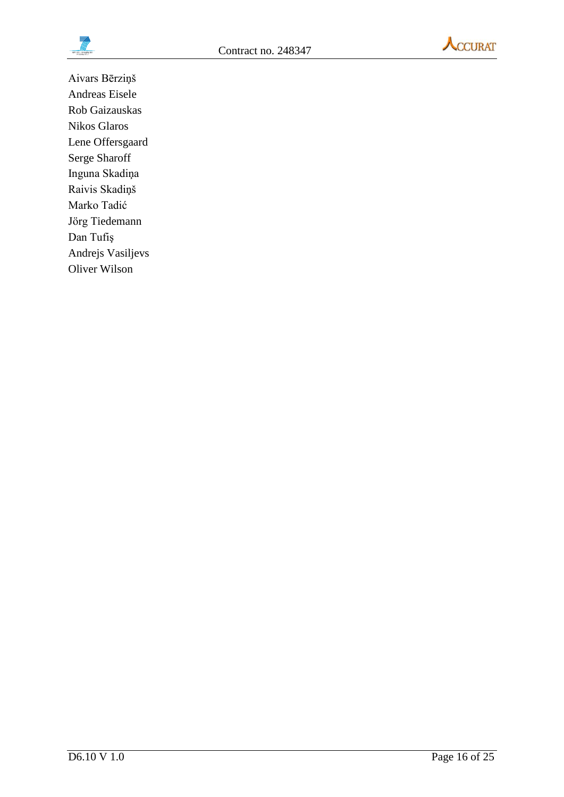



Aivars Bērziņš Andreas Eisele Rob Gaizauskas Nikos Glaros Lene Offersgaard Serge Sharoff Inguna Skadiņa Raivis Skadiņš Marko Tadić Jörg Tiedemann Dan Tufiş Andrejs Vasiljevs Oliver Wilson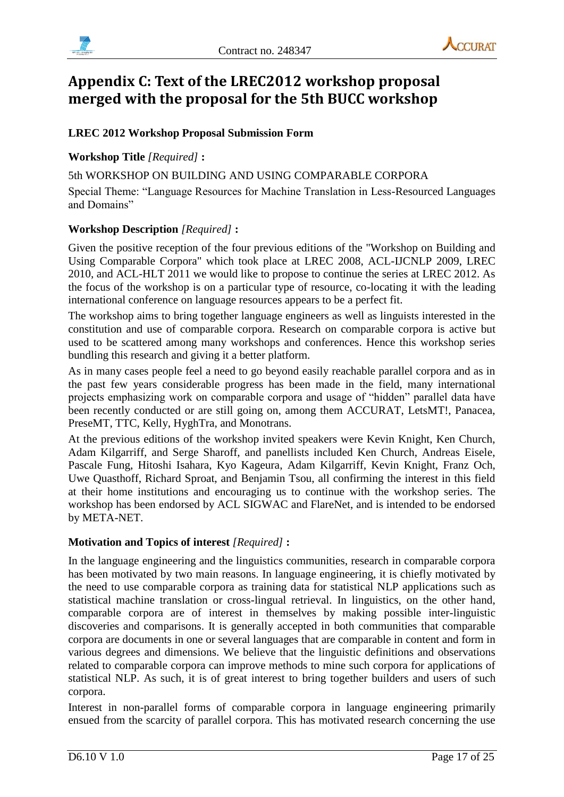



# <span id="page-16-0"></span>**Appendix C: Text of the LREC2012 workshop proposal merged with the proposal for the 5th BUCC workshop**

## **LREC 2012 Workshop Proposal Submission Form**

## **Workshop Title** *[Required]* **:**

5th WORKSHOP ON BUILDING AND USING COMPARABLE CORPORA Special Theme: "Language Resources for Machine Translation in Less-Resourced Languages and Domains"

### **Workshop Description** *[Required]* **:**

Given the positive reception of the four previous editions of the "Workshop on Building and Using Comparable Corpora" which took place at LREC 2008, ACL-IJCNLP 2009, LREC 2010, and ACL-HLT 2011 we would like to propose to continue the series at LREC 2012. As the focus of the workshop is on a particular type of resource, co-locating it with the leading international conference on language resources appears to be a perfect fit.

The workshop aims to bring together language engineers as well as linguists interested in the constitution and use of comparable corpora. Research on comparable corpora is active but used to be scattered among many workshops and conferences. Hence this workshop series bundling this research and giving it a better platform.

As in many cases people feel a need to go beyond easily reachable parallel corpora and as in the past few years considerable progress has been made in the field, many international projects emphasizing work on comparable corpora and usage of "hidden" parallel data have been recently conducted or are still going on, among them ACCURAT, LetsMT!, Panacea, PreseMT, TTC, Kelly, HyghTra, and Monotrans.

At the previous editions of the workshop invited speakers were Kevin Knight, Ken Church, Adam Kilgarriff, and Serge Sharoff, and panellists included Ken Church, Andreas Eisele, Pascale Fung, Hitoshi Isahara, Kyo Kageura, Adam Kilgarriff, Kevin Knight, Franz Och, Uwe Quasthoff, Richard Sproat, and Benjamin Tsou, all confirming the interest in this field at their home institutions and encouraging us to continue with the workshop series. The workshop has been endorsed by ACL SIGWAC and FlareNet, and is intended to be endorsed by META-NET.

## **Motivation and Topics of interest** *[Required]* **:**

In the language engineering and the linguistics communities, research in comparable corpora has been motivated by two main reasons. In language engineering, it is chiefly motivated by the need to use comparable corpora as training data for statistical NLP applications such as statistical machine translation or cross-lingual retrieval. In linguistics, on the other hand, comparable corpora are of interest in themselves by making possible inter-linguistic discoveries and comparisons. It is generally accepted in both communities that comparable corpora are documents in one or several languages that are comparable in content and form in various degrees and dimensions. We believe that the linguistic definitions and observations related to comparable corpora can improve methods to mine such corpora for applications of statistical NLP. As such, it is of great interest to bring together builders and users of such corpora.

Interest in non-parallel forms of comparable corpora in language engineering primarily ensued from the scarcity of parallel corpora. This has motivated research concerning the use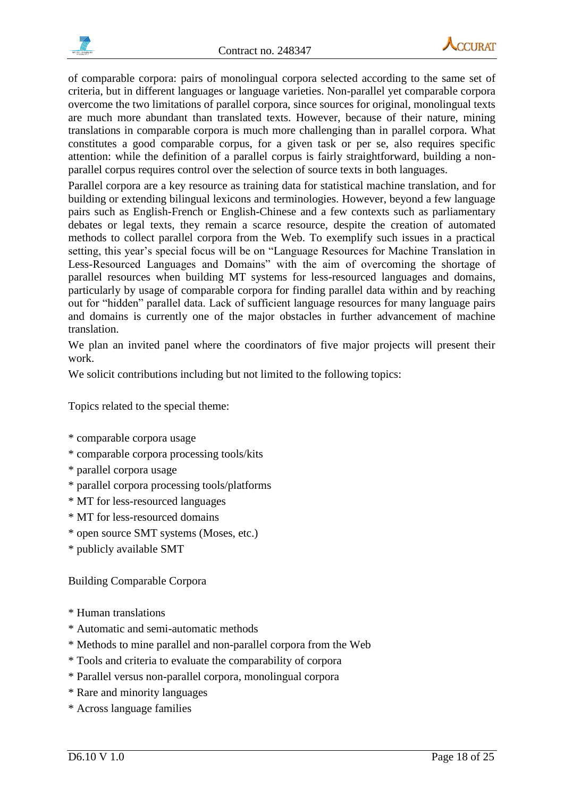



of comparable corpora: pairs of monolingual corpora selected according to the same set of criteria, but in different languages or language varieties. Non-parallel yet comparable corpora overcome the two limitations of parallel corpora, since sources for original, monolingual texts are much more abundant than translated texts. However, because of their nature, mining translations in comparable corpora is much more challenging than in parallel corpora. What constitutes a good comparable corpus, for a given task or per se, also requires specific attention: while the definition of a parallel corpus is fairly straightforward, building a nonparallel corpus requires control over the selection of source texts in both languages.

Parallel corpora are a key resource as training data for statistical machine translation, and for building or extending bilingual lexicons and terminologies. However, beyond a few language pairs such as English-French or English-Chinese and a few contexts such as parliamentary debates or legal texts, they remain a scarce resource, despite the creation of automated methods to collect parallel corpora from the Web. To exemplify such issues in a practical setting, this year's special focus will be on "Language Resources for Machine Translation in Less-Resourced Languages and Domains" with the aim of overcoming the shortage of parallel resources when building MT systems for less-resourced languages and domains, particularly by usage of comparable corpora for finding parallel data within and by reaching out for "hidden" parallel data. Lack of sufficient language resources for many language pairs and domains is currently one of the major obstacles in further advancement of machine translation.

We plan an invited panel where the coordinators of five major projects will present their work.

We solicit contributions including but not limited to the following topics:

Topics related to the special theme:

- \* comparable corpora usage
- \* comparable corpora processing tools/kits
- \* parallel corpora usage
- \* parallel corpora processing tools/platforms
- \* MT for less-resourced languages
- \* MT for less-resourced domains
- \* open source SMT systems (Moses, etc.)
- \* publicly available SMT

#### Building Comparable Corpora

- \* Human translations
- \* Automatic and semi-automatic methods
- \* Methods to mine parallel and non-parallel corpora from the Web
- \* Tools and criteria to evaluate the comparability of corpora
- \* Parallel versus non-parallel corpora, monolingual corpora
- \* Rare and minority languages
- \* Across language families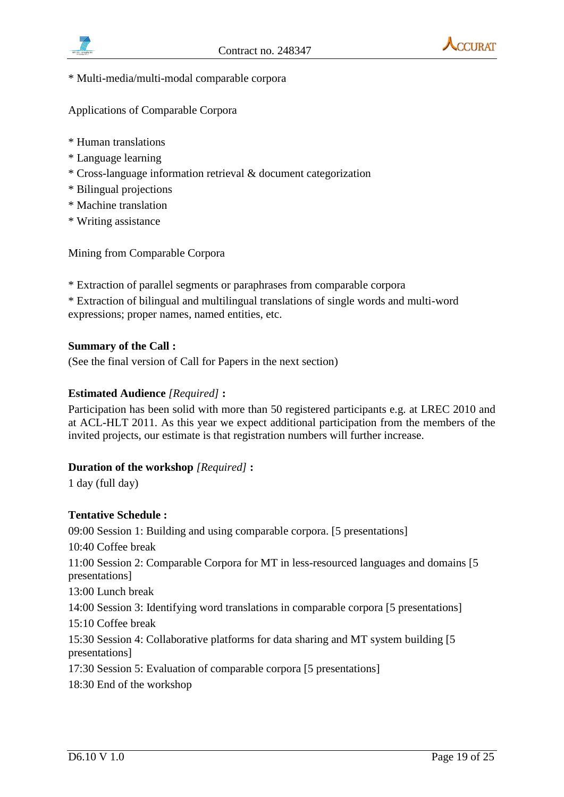



\* Multi-media/multi-modal comparable corpora

Applications of Comparable Corpora

- \* Human translations
- \* Language learning
- \* Cross-language information retrieval & document categorization
- \* Bilingual projections
- \* Machine translation
- \* Writing assistance

Mining from Comparable Corpora

- \* Extraction of parallel segments or paraphrases from comparable corpora
- \* Extraction of bilingual and multilingual translations of single words and multi-word expressions; proper names, named entities, etc.

#### **Summary of the Call :**

(See the final version of Call for Papers in the next section)

#### **Estimated Audience** *[Required]* **:**

Participation has been solid with more than 50 registered participants e.g. at LREC 2010 and at ACL-HLT 2011. As this year we expect additional participation from the members of the invited projects, our estimate is that registration numbers will further increase.

#### **Duration of the workshop** *[Required]* **:**

1 day (full day)

#### **Tentative Schedule :**

09:00 Session 1: Building and using comparable corpora. [5 presentations] 10:40 Coffee break 11:00 Session 2: Comparable Corpora for MT in less-resourced languages and domains [5 presentations] 13:00 Lunch break 14:00 Session 3: Identifying word translations in comparable corpora [5 presentations] 15:10 Coffee break 15:30 Session 4: Collaborative platforms for data sharing and MT system building [5 presentations] 17:30 Session 5: Evaluation of comparable corpora [5 presentations] 18:30 End of the workshop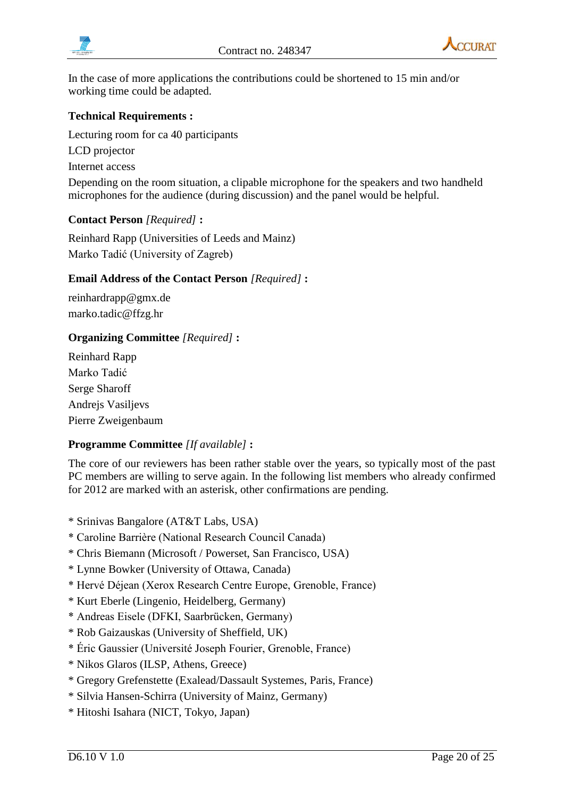



In the case of more applications the contributions could be shortened to 15 min and/or working time could be adapted.

### **Technical Requirements :**

Lecturing room for ca 40 participants LCD projector Internet access Depending on the room situation, a clipable microphone for the speakers and two handheld microphones for the audience (during discussion) and the panel would be helpful.

#### **Contact Person** *[Required]* **:**

Reinhard Rapp (Universities of Leeds and Mainz) Marko Tadić (University of Zagreb)

#### **Email Address of the Contact Person** *[Required]* **:**

reinhardrapp@gmx.de marko.tadic@ffzg.hr

### **Organizing Committee** *[Required]* **:**

Reinhard Rapp Marko Tadić Serge Sharoff Andrejs Vasiljevs Pierre Zweigenbaum

### **Programme Committee** *[If available]* **:**

The core of our reviewers has been rather stable over the years, so typically most of the past PC members are willing to serve again. In the following list members who already confirmed for 2012 are marked with an asterisk, other confirmations are pending.

- \* Srinivas Bangalore (AT&T Labs, USA)
- \* Caroline Barrière (National Research Council Canada)
- \* Chris Biemann (Microsoft / Powerset, San Francisco, USA)
- \* Lynne Bowker (University of Ottawa, Canada)
- \* Hervé Déjean (Xerox Research Centre Europe, Grenoble, France)
- \* Kurt Eberle (Lingenio, Heidelberg, Germany)
- \* Andreas Eisele (DFKI, Saarbrücken, Germany)
- \* Rob Gaizauskas (University of Sheffield, UK)
- \* Éric Gaussier (Université Joseph Fourier, Grenoble, France)
- \* Nikos Glaros (ILSP, Athens, Greece)
- \* Gregory Grefenstette (Exalead/Dassault Systemes, Paris, France)
- \* Silvia Hansen-Schirra (University of Mainz, Germany)
- \* Hitoshi Isahara (NICT, Tokyo, Japan)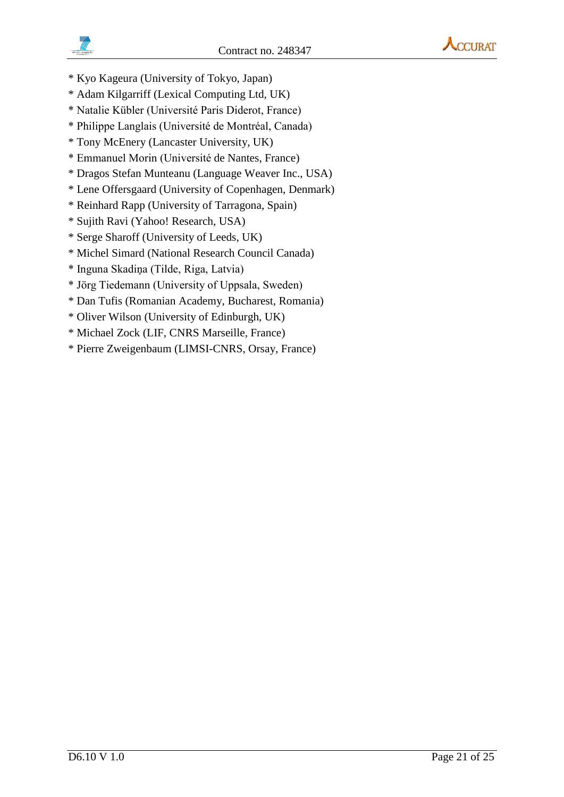



- \* Kyo Kageura (University of Tokyo, Japan)
- \* Adam Kilgarriff (Lexical Computing Ltd, UK)
- \* Natalie Kübler (Université Paris Diderot, France)
- \* Philippe Langlais (Université de Montréal, Canada)
- \* Tony McEnery (Lancaster University, UK)
- \* Emmanuel Morin (Université de Nantes, France)
- \* Dragos Stefan Munteanu (Language Weaver Inc., USA)
- \* Lene Offersgaard (University of Copenhagen, Denmark)
- \* Reinhard Rapp (University of Tarragona, Spain)
- \* Sujith Ravi (Yahoo! Research, USA)
- \* Serge Sharoff (University of Leeds, UK)
- \* Michel Simard (National Research Council Canada)
- \* Inguna Skadiņa (Tilde, Riga, Latvia)
- \* Jörg Tiedemann (University of Uppsala, Sweden)
- \* Dan Tufis (Romanian Academy, Bucharest, Romania)
- \* Oliver Wilson (University of Edinburgh, UK)
- \* Michael Zock (LIF, CNRS Marseille, France)
- \* Pierre Zweigenbaum (LIMSI-CNRS, Orsay, France)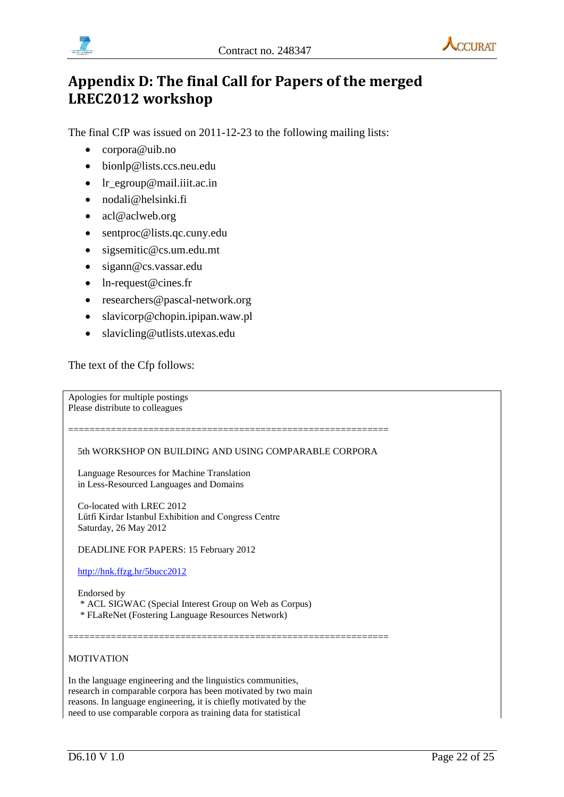



# <span id="page-21-0"></span>**Appendix D: The final Call for Papers of the merged LREC2012 workshop**

The final CfP was issued on 2011-12-23 to the following mailing lists:

- corpora@uib.no
- bionlp@lists.ccs.neu.edu
- lr\_egroup@mail.iiit.ac.in
- nodali@helsinki.fi
- acl@aclweb.org
- sentproc@lists.qc.cuny.edu
- sigsemitic@cs.um.edu.mt
- sigann@cs.vassar.edu
- ln-request@cines.fr
- researchers@pascal-network.org
- slavicorp@chopin.ipipan.waw.pl
- slavicling@utlists.utexas.edu

The text of the Cfp follows:

Apologies for multiple postings Please distribute to colleagues

5th WORKSHOP ON BUILDING AND USING COMPARABLE CORPORA

============================================================

============================================================

 Language Resources for Machine Translation in Less-Resourced Languages and Domains

 Co-located with LREC 2012 Lütfi Kirdar Istanbul Exhibition and Congress Centre Saturday, 26 May 2012

DEADLINE FOR PAPERS: 15 February 2012

<http://hnk.ffzg.hr/5bucc2012>

Endorsed by

\* ACL SIGWAC (Special Interest Group on Web as Corpus)

\* FLaReNet (Fostering Language Resources Network)

#### MOTIVATION

In the language engineering and the linguistics communities, research in comparable corpora has been motivated by two main reasons. In language engineering, it is chiefly motivated by the need to use comparable corpora as training data for statistical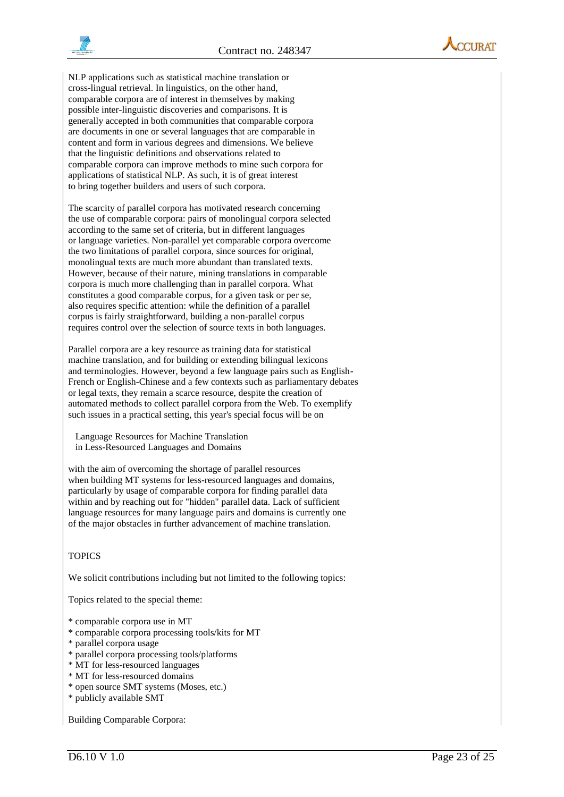



NLP applications such as statistical machine translation or cross-lingual retrieval. In linguistics, on the other hand, comparable corpora are of interest in themselves by making possible inter-linguistic discoveries and comparisons. It is generally accepted in both communities that comparable corpora are documents in one or several languages that are comparable in content and form in various degrees and dimensions. We believe that the linguistic definitions and observations related to comparable corpora can improve methods to mine such corpora for applications of statistical NLP. As such, it is of great interest to bring together builders and users of such corpora.

The scarcity of parallel corpora has motivated research concerning the use of comparable corpora: pairs of monolingual corpora selected according to the same set of criteria, but in different languages or language varieties. Non-parallel yet comparable corpora overcome the two limitations of parallel corpora, since sources for original, monolingual texts are much more abundant than translated texts. However, because of their nature, mining translations in comparable corpora is much more challenging than in parallel corpora. What constitutes a good comparable corpus, for a given task or per se, also requires specific attention: while the definition of a parallel corpus is fairly straightforward, building a non-parallel corpus requires control over the selection of source texts in both languages.

Parallel corpora are a key resource as training data for statistical machine translation, and for building or extending bilingual lexicons and terminologies. However, beyond a few language pairs such as English-French or English-Chinese and a few contexts such as parliamentary debates or legal texts, they remain a scarce resource, despite the creation of automated methods to collect parallel corpora from the Web. To exemplify such issues in a practical setting, this year's special focus will be on

 Language Resources for Machine Translation in Less-Resourced Languages and Domains

with the aim of overcoming the shortage of parallel resources when building MT systems for less-resourced languages and domains, particularly by usage of comparable corpora for finding parallel data within and by reaching out for "hidden" parallel data. Lack of sufficient language resources for many language pairs and domains is currently one of the major obstacles in further advancement of machine translation.

#### **TOPICS**

We solicit contributions including but not limited to the following topics:

Topics related to the special theme:

- \* comparable corpora use in MT
- \* comparable corpora processing tools/kits for MT
- \* parallel corpora usage
- \* parallel corpora processing tools/platforms
- \* MT for less-resourced languages
- \* MT for less-resourced domains
- \* open source SMT systems (Moses, etc.)
- \* publicly available SMT

Building Comparable Corpora: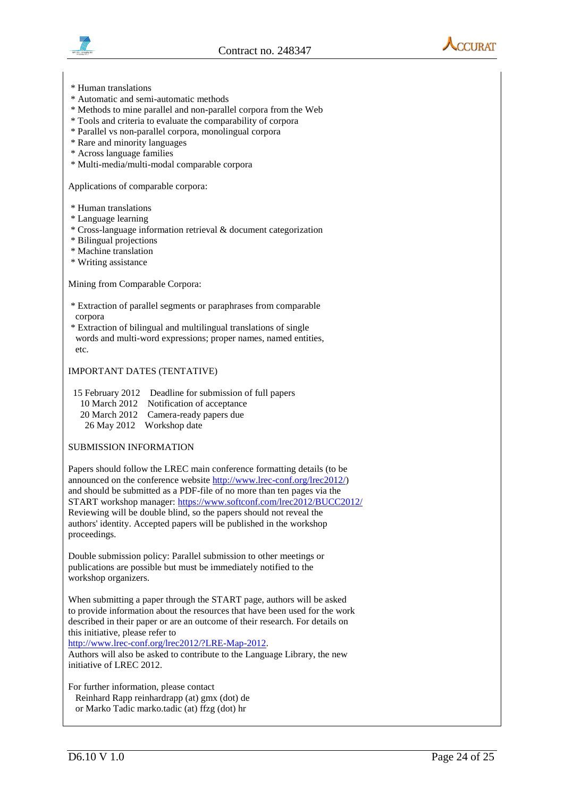





- \* Human translations
- \* Automatic and semi-automatic methods
- \* Methods to mine parallel and non-parallel corpora from the Web
- \* Tools and criteria to evaluate the comparability of corpora
- \* Parallel vs non-parallel corpora, monolingual corpora
- \* Rare and minority languages
- \* Across language families
- \* Multi-media/multi-modal comparable corpora

Applications of comparable corpora:

- \* Human translations
- \* Language learning
- \* Cross-language information retrieval & document categorization
- \* Bilingual projections
- \* Machine translation
- \* Writing assistance

#### Mining from Comparable Corpora:

- \* Extraction of parallel segments or paraphrases from comparable corpora
- \* Extraction of bilingual and multilingual translations of single words and multi-word expressions; proper names, named entities, etc.

#### IMPORTANT DATES (TENTATIVE)

15 February 2012 Deadline for submission of full papers 10 March 2012 Notification of acceptance 20 March 2012 Camera-ready papers due 26 May 2012 Workshop date

#### SUBMISSION INFORMATION

Papers should follow the LREC main conference formatting details (to be announced on the conference website [http://www.lrec-conf.org/lrec2012/\)](http://www.lrec-conf.org/lrec2012/) and should be submitted as a PDF-file of no more than ten pages via the START workshop manager:<https://www.softconf.com/lrec2012/BUCC2012/> Reviewing will be double blind, so the papers should not reveal the authors' identity. Accepted papers will be published in the workshop proceedings.

Double submission policy: Parallel submission to other meetings or publications are possible but must be immediately notified to the workshop organizers.

When submitting a paper through the START page, authors will be asked to provide information about the resources that have been used for the work described in their paper or are an outcome of their research. For details on this initiative, please refer to

[http://www.lrec-conf.org/lrec2012/?LRE-Map-2012.](http://www.lrec-conf.org/lrec2012/?LRE-Map-2012)

Authors will also be asked to contribute to the Language Library, the new initiative of LREC 2012.

For further information, please contact Reinhard Rapp reinhardrapp (at) gmx (dot) de or Marko Tadic marko.tadic (at) ffzg (dot) hr